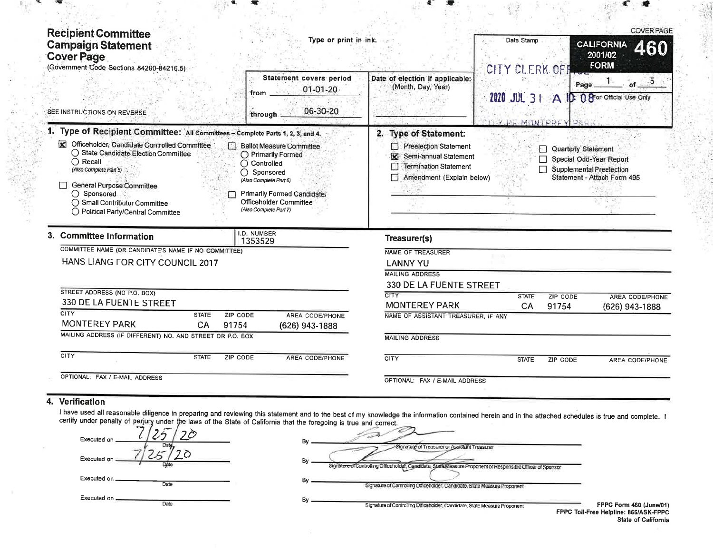| <b>Recipient Committee</b><br><b>Campaign Statement</b><br><b>Cover Page</b><br>(Government Code Sections 84200-84216.5)                                                                                                           | Type or print in ink.                                                                                            |                                                                                                  | Date Stamp<br>CITY CLERK OFF |                                  | <b>COVER PAGE</b><br><b>CALIFORNIA</b><br><b>460</b><br>2001/02<br><b>FORM</b> |
|------------------------------------------------------------------------------------------------------------------------------------------------------------------------------------------------------------------------------------|------------------------------------------------------------------------------------------------------------------|--------------------------------------------------------------------------------------------------|------------------------------|----------------------------------|--------------------------------------------------------------------------------|
| SEE INSTRUCTIONS ON REVERSE                                                                                                                                                                                                        | Statement covers period<br>$01 - 01 - 20$<br>from.<br>06-30-20<br>through.                                       | Date of election if applicable:<br>(Month, Day, Year)                                            | <b>2020 JUL 31</b><br>F      | Page<br>$\mathbf{A}$<br>MONTEREY | of $5$<br>D: 0 8 or Official Use Only                                          |
| 1. Type of Recipient Committee: All Committees - Complete Parts 1, 2, 3, and 4.<br><b>x</b><br>Officeholder, Candidate Controlled Committee<br>○ State Candidate Election Committee<br>$\bigcirc$ Recall<br>(Also Complete Part 5) | <b>Ballot Measure Committee</b><br>○ Primarily Formed<br>$\bigcirc$ Controlled<br>$\bigcirc$ Sponsored           | 2. Type of Statement:<br>Preelection Statement<br>Semi-annual Statement<br>Termination Statement |                              | Quarterly Statement<br>⊡         | Special Odd-Year Report<br>Supplemental Preelection                            |
| General Purpose Committee<br>$\bigcirc$ Sponsored<br>◯ Small Contributor Committee<br>◯ Political Party/Central Committee                                                                                                          | (Also Complete Part 6)<br><b>Primarily Formed Candidate/</b><br>Officeholder Committee<br>(Also Complete Part 7) | Amendment (Explain below)                                                                        |                              |                                  | Statement - Attach Form 495                                                    |
| 3. Committee Information                                                                                                                                                                                                           | I.D. NUMBER                                                                                                      | Treasurer(s)                                                                                     |                              |                                  |                                                                                |
| COMMITTEE NAME (OR CANDIDATE'S NAME IF NO COMMITTEE)                                                                                                                                                                               | 1353529                                                                                                          | <b>NAME OF TREASURER</b>                                                                         |                              |                                  |                                                                                |
| HANS LIANG FOR CITY COUNCIL 2017                                                                                                                                                                                                   |                                                                                                                  | <b>LANNY YU</b>                                                                                  |                              |                                  |                                                                                |
|                                                                                                                                                                                                                                    |                                                                                                                  | <b>MAILING ADDRESS</b>                                                                           |                              |                                  |                                                                                |
|                                                                                                                                                                                                                                    |                                                                                                                  | 330 DE LA FUENTE STREET                                                                          |                              |                                  |                                                                                |
| STREET ADDRESS (NO P.O. BOX)                                                                                                                                                                                                       |                                                                                                                  | <b>CITY</b>                                                                                      | <b>STATE</b>                 | ZIP CODE                         | <b>AREA CODE/PHONE</b>                                                         |
| 330 DE LA FUENTE STREET                                                                                                                                                                                                            |                                                                                                                  | <b>MONTEREY PARK</b>                                                                             | CA                           | 91754                            | (626) 943-1888                                                                 |
| <b>CITY</b><br><b>STATE</b><br>ZIP CODE                                                                                                                                                                                            | AREA CODE/PHONE                                                                                                  | NAME OF ASSISTANT TREASURER. IF ANY                                                              |                              |                                  |                                                                                |
| <b>MONTEREY PARK</b><br>CA<br>91754                                                                                                                                                                                                | (626) 943-1888                                                                                                   |                                                                                                  |                              |                                  |                                                                                |
| MAILING ADDRESS (IF DIFFERENT) NO. AND STREET OR P.O. BOX                                                                                                                                                                          |                                                                                                                  | <b>MAILING ADDRESS</b>                                                                           |                              |                                  |                                                                                |
| <b>CITY</b><br><b>STATE</b><br>ZIP CODE                                                                                                                                                                                            | AREA CODE/PHONE                                                                                                  | CITY                                                                                             | <b>STATE</b>                 | ZIP CODE                         | AREA CODE/PHONE                                                                |

I have used all reasonable diligence in preparing and reviewing this statement and to the best of my knowledge the information contained herein and in the attached schedules is true and complete. I<br>certify under penalty of

| Executed on           | В١<br>-Signature of Treasurer or Assistant Treasurer                                                        |
|-----------------------|-------------------------------------------------------------------------------------------------------------|
| Executed on           | Bv                                                                                                          |
| Dáte                  | Signature of Controlling Officeholder, Candidate, State Measure Proponent or Responsible Officer of Sponsor |
| Executed on _         | Bv                                                                                                          |
| Date                  | Signature of Controlling Officeholder, Candidate, State Measure Proponent                                   |
| Executed on _<br>Date | By<br>Signature of Controlling Officeholder, Candidate, State Measure Proponent<br><b>FPPC</b>              |

FPPC Form 460 (June/01)<br>PPC Toll-Free Helpline: 866/ASK-FPPC<br>State of California

ist in<br>Billi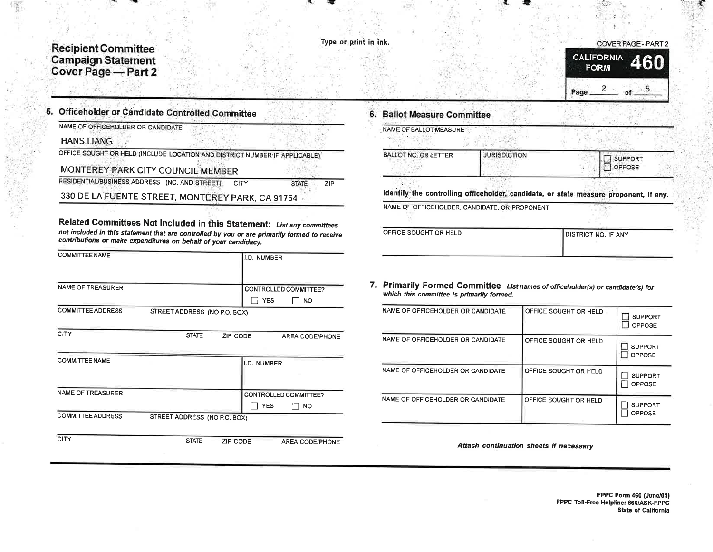# **Recipient Committee** Campaign Statement<br>Cover Page - Part 2

#### Type or print in ink.

**STATE** 

 $ZIP$ 



| <b>Officeholder or Candidate Controlled Committee</b>   |  |
|---------------------------------------------------------|--|
| NAME OF OFFICEHOLDER OR CANDIDATE                       |  |
| <b>HANS LIANG</b>                                       |  |
| $\overline{O}$ EEICE COUCHT OB UTLA (INOLUAE LOO 1700). |  |

OFFICE SOUGHT OR HELD (INCLUDE LOCATION AND DISTRICT NUMBER IF APPLICABLE)

MONTEREY PARK CITY COUNCIL MEMBER

RESIDENTIAL/BUSINESS ADDRESS (NO. AND STREET) CITY

330 DE LA FUENTE STREET, MONTEREY PARK, CA 91754

Related Committees Not Included in this Statement: List any committees not included in this statement that are controlled by you or are primarily formed to receive contributions or make expenditures on behalf of your candidacy.

| <b>COMMITTEE NAME</b>    |                              |          | I.D. NUMBER |                        |  |
|--------------------------|------------------------------|----------|-------------|------------------------|--|
|                          |                              |          |             |                        |  |
| NAME OF TREASURER        |                              |          |             | CONTROLLED COMMITTEE?  |  |
|                          |                              |          | <b>YES</b>  | <b>NO</b>              |  |
| <b>COMMITTEE ADDRESS</b> | STREET ADDRESS (NO P.O. BOX) |          |             |                        |  |
|                          |                              |          |             |                        |  |
| CITY                     | <b>STATE</b>                 | ZIP CODE |             | AREA CODE/PHONE        |  |
|                          |                              |          |             |                        |  |
| <b>COMMITTEE NAME</b>    |                              |          | I.D. NUMBER |                        |  |
|                          |                              |          |             |                        |  |
|                          |                              |          |             |                        |  |
| NAME OF TREASURER        |                              |          |             | CONTROLLED COMMITTEE?  |  |
|                          |                              |          | <b>YES</b>  | NO                     |  |
| <b>COMMITTEE ADDRESS</b> | STREET ADDRESS (NO P.O. BOX) |          |             |                        |  |
|                          |                              |          |             |                        |  |
| <b>CITY</b>              | <b>STATE</b>                 | ZIP CODE |             | <b>AREA CODE/PHONE</b> |  |

## 6. Ballot Measure Committee

| NAME OF BALLOT MEASURE |                                               |                                                                                       |  |
|------------------------|-----------------------------------------------|---------------------------------------------------------------------------------------|--|
| BALLOT NO. OR LETTER   | <b>JURISDICTION</b>                           | <b>SUPPORT</b><br>OPPOSE                                                              |  |
|                        |                                               | Identify the controlling officeholder, candidate, or state measure proponent, if any. |  |
|                        | NAME OF OFFICEHOLDER, CANDIDATE, OR PROPONENT |                                                                                       |  |
|                        |                                               |                                                                                       |  |
| OFFICE SOUGHT OR HELD  |                                               | DISTRICT NO. IF ANY                                                                   |  |

### 7. Primarily Formed Committee List names of officeholder(s) or candidate(s) for which this committee is primarily formed.

| NAME OF OFFICEHOLDER OR CANDIDATE | OFFICE SOUGHT OR HELD | <b>SUPPORT</b><br><b>OPPOSE</b> |
|-----------------------------------|-----------------------|---------------------------------|
| NAME OF OFFICEHOLDER OR CANDIDATE | OFFICE SOUGHT OR HELD | <b>SUPPORT</b><br><b>OPPOSE</b> |
| NAME OF OFFICEHOLDER OR CANDIDATE | OFFICE SOUGHT OR HELD | <b>SUPPORT</b><br><b>OPPOSE</b> |
| NAME OF OFFICEHOLDER OR CANDIDATE | OFFICE SOUGHT OR HELD | <b>SUPPORT</b><br><b>OPPOSE</b> |

Attach continuation sheets if necessary

FPPC Form 460 (June/01) FPPC Toll-Free Helpline: 866/ASK-FPPC State of California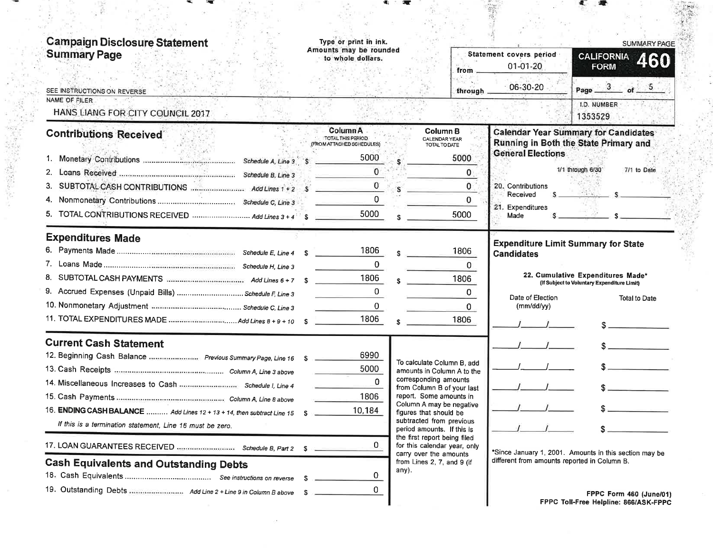| <b>Campaign Disclosure Statement</b><br><b>Summary Page</b>               | Type or print in ink.<br>Amounts may be rounded<br>to whole dollars.                                |                        | from                                                       | Statement covers period<br>$01 - 01 - 20$    | <b>SUMMARY PAGE</b><br><b>CALIFORNIA</b><br>460<br><b>FORM</b>                       |
|---------------------------------------------------------------------------|-----------------------------------------------------------------------------------------------------|------------------------|------------------------------------------------------------|----------------------------------------------|--------------------------------------------------------------------------------------|
| SEE INSTRUCTIONS ON REVERSE                                               |                                                                                                     |                        | through                                                    | 06-30-20                                     | Page $3$ of $5$                                                                      |
| NAME OF FILER<br>HANS LIANG FOR CITY COUNCIL 2017                         |                                                                                                     |                        |                                                            |                                              | I.D. NUMBER<br>1353529                                                               |
| <b>Contributions Received</b>                                             | Column A<br>TOTAL THIS PERIOD.<br>(FROM ATTACHED SCHEDULES)<br>5000                                 |                        | Column B<br><b>CALENDAR YEAR</b><br>TOTAL TO DATE<br>5000  | <b>General Elections</b>                     | <b>Calendar Year Summary for Candidates</b><br>Running in Both the State Primary and |
| 2.                                                                        | $\mathbf{0}$                                                                                        |                        | 0                                                          |                                              | 1/1 through 6/30<br>7/1 to Date                                                      |
|                                                                           |                                                                                                     | <b>S</b>               | $\mathbf{0}$                                               | 20. Contributions                            |                                                                                      |
| 4.                                                                        | $\mathcal{A} = \{ \mathcal{A} \mid \mathcal{A} \in \mathcal{A} \mid \mathcal{A} \in \mathcal{A} \}$ |                        | 0                                                          | Received                                     |                                                                                      |
| 5. TOTAL CONTRIBUTIONS RECEIVED  Add Lines 3+4                            | 5000                                                                                                |                        | 5000                                                       | 21. Expenditures<br>Made                     |                                                                                      |
| <b>Expenditures Made</b>                                                  |                                                                                                     |                        |                                                            |                                              | <b>Expenditure Limit Summary for State</b>                                           |
|                                                                           | 1806                                                                                                |                        | 1806                                                       | <b>Candidates</b>                            |                                                                                      |
|                                                                           | 0                                                                                                   |                        | O.                                                         |                                              | 22. Cumulative Expenditures Made*                                                    |
|                                                                           | 1806                                                                                                |                        | 1806                                                       |                                              | (If Subject to Voluntary Expenditure Limit)                                          |
| 9. Accrued Expenses (Unpaid Bills)  Schedule F, Line 3                    |                                                                                                     |                        | $\Omega$                                                   | Date of Election                             | Total to Date                                                                        |
|                                                                           | $\Omega$<br>1806                                                                                    |                        | 0                                                          | (mm/dd/yy)                                   |                                                                                      |
|                                                                           |                                                                                                     |                        | 1806                                                       |                                              |                                                                                      |
| <b>Current Cash Statement</b>                                             |                                                                                                     |                        |                                                            |                                              |                                                                                      |
| 12. Beginning Cash Balance  Previous Summary Page, Line 16 \$             | 6990                                                                                                |                        | To calculate Column B, add                                 |                                              |                                                                                      |
|                                                                           | 5000                                                                                                |                        | amounts in Column A to the<br>corresponding amounts        |                                              |                                                                                      |
|                                                                           | $\Omega$                                                                                            |                        | from Column B of your last                                 |                                              |                                                                                      |
|                                                                           | 1806                                                                                                |                        | report. Some amounts in<br>Column A may be negative        |                                              |                                                                                      |
| 16. ENDING CASH BALANCE  Add Lines 12 + 13 + 14, then subtract Line 15 \$ | 10,184                                                                                              | figures that should be | subtracted from previous                                   |                                              |                                                                                      |
| If this is a termination statement, Line 16 must be zero.                 |                                                                                                     |                        | period amounts. If this is<br>the first report being filed |                                              |                                                                                      |
|                                                                           | 0.                                                                                                  |                        | for this calendar year, only<br>carry over the amounts     |                                              | *Since January 1, 2001. Amounts in this section may be                               |
| <b>Cash Equivalents and Outstanding Debts</b>                             |                                                                                                     | any).                  | from Lines 2, 7, and 9 (if                                 | different from amounts reported in Column B. |                                                                                      |
|                                                                           | 0                                                                                                   |                        |                                                            |                                              |                                                                                      |
|                                                                           |                                                                                                     |                        |                                                            |                                              |                                                                                      |

 $\sim 2$ 

ా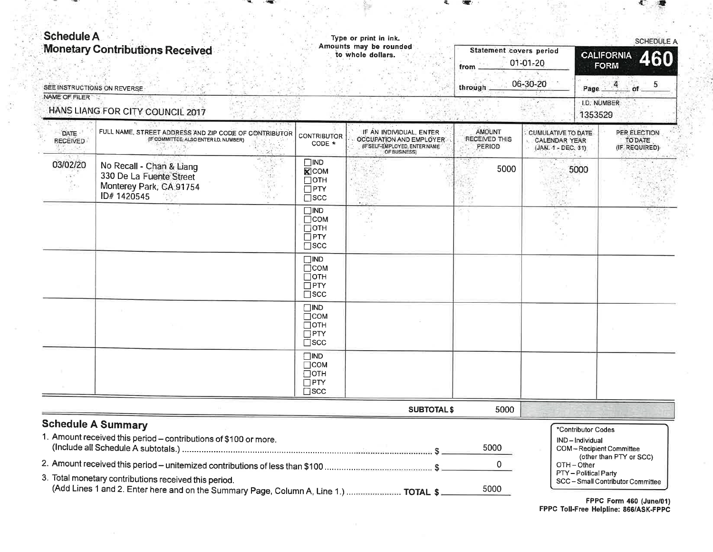| <b>Schedule A</b>       | <b>Monetary Contributions Received</b><br>SEE INSTRUCTIONS ON REVERSE                                                                          |                                                                          | Type or print in ink.<br>Amounts may be rounded<br>to whole dollars.                                 | <b>Statement covers period</b><br>from<br>through | $01 - 01 - 20$<br>06-30-20                                       | SCHEDULE A<br><b>CALIFORNIA</b><br>460<br><b>FORM</b><br>5<br>Page                         |
|-------------------------|------------------------------------------------------------------------------------------------------------------------------------------------|--------------------------------------------------------------------------|------------------------------------------------------------------------------------------------------|---------------------------------------------------|------------------------------------------------------------------|--------------------------------------------------------------------------------------------|
| NAME OF FILER           | HANS LIANG FOR CITY COUNCIL 2017                                                                                                               |                                                                          |                                                                                                      |                                                   |                                                                  | I.D. NUMBER<br>1353529                                                                     |
| DATE<br><b>RECEIVED</b> | FULL NAME, STREET ADDRESS AND ZIP CODE OF CONTRIBUTOR<br>(IF COMMITTEE: ALSO ENTER I.D. NUMBER)                                                | <b>CONTRIBUTOR</b><br>CODE *                                             | IF AN INDIVIDUAL, ENTER<br>OCCUPATION AND EMPLOYER<br>(IF SELF-EMPLOYED, ENTER NAME)<br>OF BUSINESS) | AMOUNT<br><b>RECEIVED THIS</b><br>PERIOD          | CUMULATIVE TO DATE<br><b>CALENDAR YEAR</b><br>(JAN. 1 - DEC. 31) | PER ELECTION<br><b>TO DATE</b><br>(IF REQUIRED)                                            |
| 03/02/20                | No Recall - Chan & Liang<br>330 De La Fuente Street<br>Monterey Park, CA 91754<br>ID# 1420545                                                  | $\square$ IND<br><b>X</b> COM<br>⊡отн<br>$\square$ PTY<br>$\square$ scc  |                                                                                                      | 5000                                              | 5000                                                             |                                                                                            |
|                         |                                                                                                                                                | $\square$ IND<br>$\Box$ COM<br>$\Box$ OTH<br>$\Box$ PTY<br>$\square$ scc |                                                                                                      |                                                   |                                                                  |                                                                                            |
|                         |                                                                                                                                                | $\square$ IND<br>$\Box$ COM<br>$\Box$ OTH<br>$\Box$ PTY<br>$\square$ scc |                                                                                                      |                                                   |                                                                  |                                                                                            |
|                         |                                                                                                                                                | $\square$ IND<br>$\Box$ COM<br>$\Box$ OTH<br>$\Box$ PTY<br>$\square$ scc |                                                                                                      |                                                   |                                                                  |                                                                                            |
|                         |                                                                                                                                                | $\square$ IND<br>$\Box$ COM<br>$\Box$ OTH<br>$\Box$ PTY<br>$\square$ scc |                                                                                                      |                                                   |                                                                  |                                                                                            |
|                         |                                                                                                                                                |                                                                          | <b>SUBTOTAL \$</b>                                                                                   | 5000                                              |                                                                  |                                                                                            |
|                         | <b>Schedule A Summary</b><br>1. Amount received this period - contributions of \$100 or more.                                                  |                                                                          |                                                                                                      | 5000                                              |                                                                  | *Contributor Codes<br>IND-Individual<br>COM-Recipient Committee<br>(other than PTY or SCC) |
|                         | 3. Total monetary contributions received this period.<br>(Add Lines 1 and 2. Enter here and on the Summary Page, Column A, Line 1.)  TOTAL \$. |                                                                          |                                                                                                      | 0<br>5000                                         | OTH-Other                                                        | PTY-Political Party<br>SCC-Small Contributor Committee                                     |

Ç.

FPPC Form 460 (June/01)<br>FPPC Toll-Free Helpline: 866/ASK-FPPC